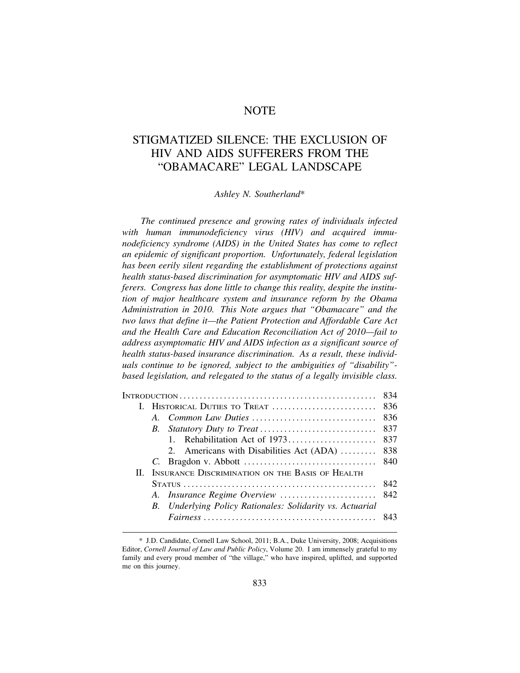# **NOTE**

# STIGMATIZED SILENCE: THE EXCLUSION OF HIV AND AIDS SUFFERERS FROM THE "OBAMACARE" LEGAL LANDSCAPE

#### *Ashley N. Southerland*\*

*The continued presence and growing rates of individuals infected with human immunodeficiency virus (HIV) and acquired immunodeficiency syndrome (AIDS) in the United States has come to reflect an epidemic of significant proportion. Unfortunately, federal legislation has been eerily silent regarding the establishment of protections against health status-based discrimination for asymptomatic HIV and AIDS sufferers. Congress has done little to change this reality, despite the institution of major healthcare system and insurance reform by the Obama Administration in 2010. This Note argues that "Obamacare" and the two laws that define it—the Patient Protection and Affordable Care Act and the Health Care and Education Reconciliation Act of 2010—fail to address asymptomatic HIV and AIDS infection as a significant source of health status-based insurance discrimination. As a result, these individuals continue to be ignored, subject to the ambiguities of "disability" based legislation, and relegated to the status of a legally invisible class.* 

|  | 2. Americans with Disabilities Act (ADA)                  | 838 |
|--|-----------------------------------------------------------|-----|
|  |                                                           |     |
|  | II. INSURANCE DISCRIMINATION ON THE BASIS OF HEALTH       |     |
|  |                                                           |     |
|  |                                                           |     |
|  | B. Underlying Policy Rationales: Solidarity vs. Actuarial |     |
|  |                                                           |     |
|  |                                                           |     |

<sup>\*</sup> J.D. Candidate, Cornell Law School, 2011; B.A., Duke University, 2008; Acquisitions Editor, *Cornell Journal of Law and Public Policy*, Volume 20. I am immensely grateful to my family and every proud member of "the village," who have inspired, uplifted, and supported me on this journey.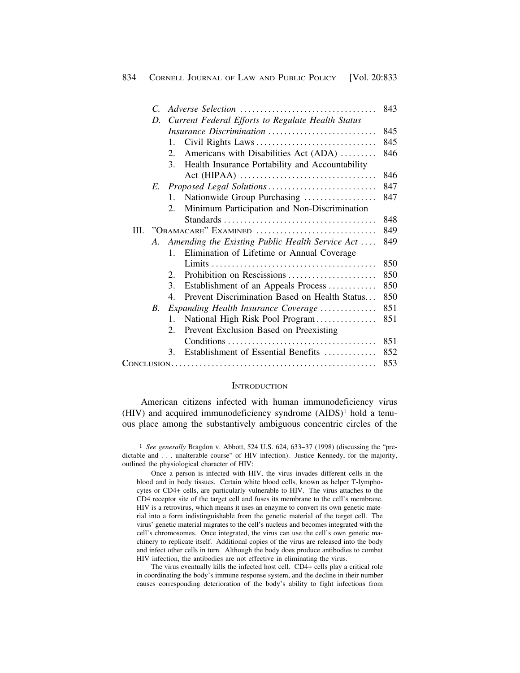|      | C. |                                                                              | 843 |
|------|----|------------------------------------------------------------------------------|-----|
|      | D. | Current Federal Efforts to Regulate Health Status                            |     |
|      |    | Insurance Discrimination                                                     | 845 |
|      |    | Civil Rights Laws<br>1.                                                      | 845 |
|      |    | Americans with Disabilities Act (ADA)<br>2.                                  | 846 |
|      |    | 3 <sub>1</sub><br>Health Insurance Portability and Accountability            |     |
|      |    | $Act (HIPAA) \ldots \ldots \ldots \ldots \ldots \ldots \ldots \ldots \ldots$ | 846 |
|      |    |                                                                              | 847 |
|      |    | Nationwide Group Purchasing<br>$\mathbf{1}$ .                                | 847 |
|      |    | Minimum Participation and Non-Discrimination<br>2.                           |     |
|      |    |                                                                              | 848 |
| III. |    | "OBAMACARE" EXAMINED                                                         | 849 |
|      | A. | Amending the Existing Public Health Service Act                              | 849 |
|      |    | Elimination of Lifetime or Annual Coverage<br>$1_{-}$                        |     |
|      |    |                                                                              | 850 |
|      |    | Prohibition on Rescissions<br>2.                                             | 850 |
|      |    | 3.<br>Establishment of an Appeals Process                                    | 850 |
|      |    | Prevent Discrimination Based on Health Status<br>$4_{\cdot}$                 | 850 |
|      | B. | Expanding Health Insurance Coverage                                          | 851 |
|      |    | National High Risk Pool Program<br>$\mathbf{1}$ .                            | 851 |
|      |    | Prevent Exclusion Based on Preexisting<br>2.                                 |     |
|      |    |                                                                              | 851 |
|      |    | Establishment of Essential Benefits<br>3.                                    | 852 |
|      |    |                                                                              | 853 |

#### **INTRODUCTION**

American citizens infected with human immunodeficiency virus (HIV) and acquired immunodeficiency syndrome (AIDS)1 hold a tenuous place among the substantively ambiguous concentric circles of the

The virus eventually kills the infected host cell. CD4+ cells play a critical role in coordinating the body's immune response system, and the decline in their number causes corresponding deterioration of the body's ability to fight infections from

<sup>1</sup> *See generally* Bragdon v. Abbott, 524 U.S. 624, 633–37 (1998) (discussing the "predictable and . . . unalterable course" of HIV infection). Justice Kennedy, for the majority, outlined the physiological character of HIV:

Once a person is infected with HIV, the virus invades different cells in the blood and in body tissues. Certain white blood cells, known as helper T-lymphocytes or CD4+ cells, are particularly vulnerable to HIV. The virus attaches to the CD4 receptor site of the target cell and fuses its membrane to the cell's membrane. HIV is a retrovirus, which means it uses an enzyme to convert its own genetic material into a form indistinguishable from the genetic material of the target cell. The virus' genetic material migrates to the cell's nucleus and becomes integrated with the cell's chromosomes. Once integrated, the virus can use the cell's own genetic machinery to replicate itself. Additional copies of the virus are released into the body and infect other cells in turn. Although the body does produce antibodies to combat HIV infection, the antibodies are not effective in eliminating the virus.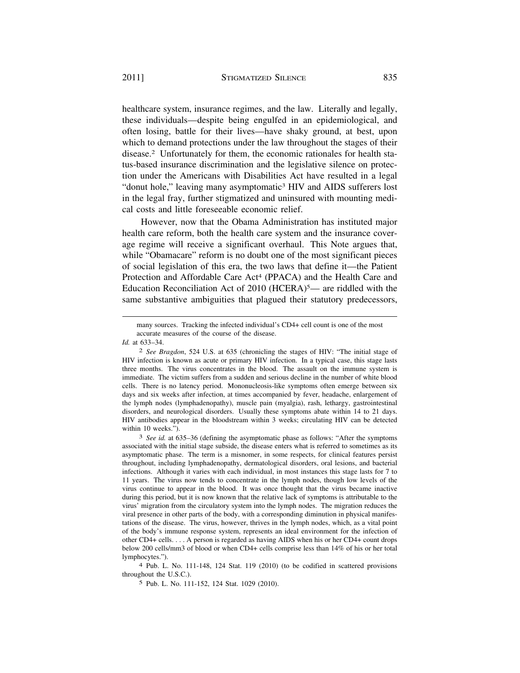healthcare system, insurance regimes, and the law. Literally and legally, these individuals—despite being engulfed in an epidemiological, and often losing, battle for their lives—have shaky ground, at best, upon which to demand protections under the law throughout the stages of their disease.2 Unfortunately for them, the economic rationales for health status-based insurance discrimination and the legislative silence on protection under the Americans with Disabilities Act have resulted in a legal "donut hole," leaving many asymptomatic3 HIV and AIDS sufferers lost in the legal fray, further stigmatized and uninsured with mounting medical costs and little foreseeable economic relief.

However, now that the Obama Administration has instituted major health care reform, both the health care system and the insurance coverage regime will receive a significant overhaul. This Note argues that, while "Obamacare" reform is no doubt one of the most significant pieces of social legislation of this era, the two laws that define it—the Patient Protection and Affordable Care Act<sup>4</sup> (PPACA) and the Health Care and Education Reconciliation Act of 2010 (HCERA)<sup>5</sup>— are riddled with the same substantive ambiguities that plagued their statutory predecessors,

4 Pub. L. No. 111-148, 124 Stat. 119 (2010) (to be codified in scattered provisions throughout the U.S.C.).

5 Pub. L. No. 111-152, 124 Stat. 1029 (2010).

many sources. Tracking the infected individual's CD4+ cell count is one of the most accurate measures of the course of the disease.

*Id.* at 633–34.

<sup>2</sup> *See Bragdon*, 524 U.S. at 635 (chronicling the stages of HIV: "The initial stage of HIV infection is known as acute or primary HIV infection. In a typical case, this stage lasts three months. The virus concentrates in the blood. The assault on the immune system is immediate. The victim suffers from a sudden and serious decline in the number of white blood cells. There is no latency period. Mononucleosis-like symptoms often emerge between six days and six weeks after infection, at times accompanied by fever, headache, enlargement of the lymph nodes (lymphadenopathy), muscle pain (myalgia), rash, lethargy, gastrointestinal disorders, and neurological disorders. Usually these symptoms abate within 14 to 21 days. HIV antibodies appear in the bloodstream within 3 weeks; circulating HIV can be detected within 10 weeks.").

<sup>3</sup> *See id.* at 635–36 (defining the asymptomatic phase as follows: "After the symptoms associated with the initial stage subside, the disease enters what is referred to sometimes as its asymptomatic phase. The term is a misnomer, in some respects, for clinical features persist throughout, including lymphadenopathy, dermatological disorders, oral lesions, and bacterial infections. Although it varies with each individual, in most instances this stage lasts for 7 to 11 years. The virus now tends to concentrate in the lymph nodes, though low levels of the virus continue to appear in the blood. It was once thought that the virus became inactive during this period, but it is now known that the relative lack of symptoms is attributable to the virus' migration from the circulatory system into the lymph nodes. The migration reduces the viral presence in other parts of the body, with a corresponding diminution in physical manifestations of the disease. The virus, however, thrives in the lymph nodes, which, as a vital point of the body's immune response system, represents an ideal environment for the infection of other CD4+ cells. . . . A person is regarded as having AIDS when his or her CD4+ count drops below 200 cells/mm3 of blood or when CD4+ cells comprise less than 14% of his or her total lymphocytes.").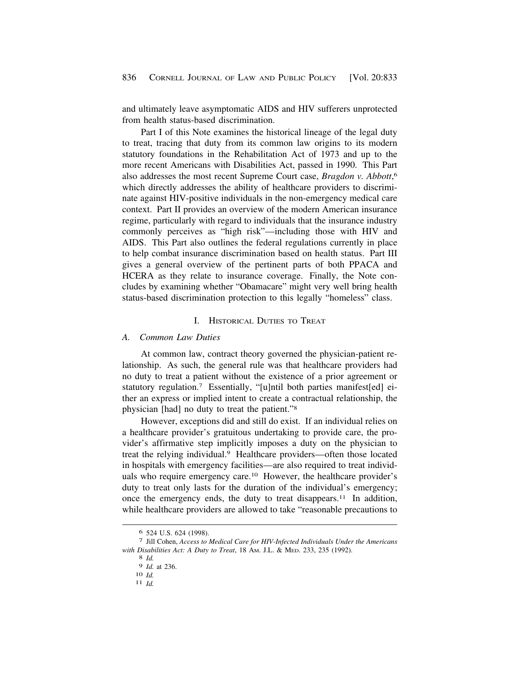and ultimately leave asymptomatic AIDS and HIV sufferers unprotected from health status-based discrimination.

Part I of this Note examines the historical lineage of the legal duty to treat, tracing that duty from its common law origins to its modern statutory foundations in the Rehabilitation Act of 1973 and up to the more recent Americans with Disabilities Act, passed in 1990. This Part also addresses the most recent Supreme Court case, *Bragdon v. Abbott*, 6 which directly addresses the ability of healthcare providers to discriminate against HIV-positive individuals in the non-emergency medical care context. Part II provides an overview of the modern American insurance regime, particularly with regard to individuals that the insurance industry commonly perceives as "high risk"—including those with HIV and AIDS. This Part also outlines the federal regulations currently in place to help combat insurance discrimination based on health status. Part III gives a general overview of the pertinent parts of both PPACA and HCERA as they relate to insurance coverage. Finally, the Note concludes by examining whether "Obamacare" might very well bring health status-based discrimination protection to this legally "homeless" class.

### I. HISTORICAL DUTIES TO TREAT

### *A. Common Law Duties*

At common law, contract theory governed the physician-patient relationship. As such, the general rule was that healthcare providers had no duty to treat a patient without the existence of a prior agreement or statutory regulation.7 Essentially, "[u]ntil both parties manifest[ed] either an express or implied intent to create a contractual relationship, the physician [had] no duty to treat the patient."8

However, exceptions did and still do exist. If an individual relies on a healthcare provider's gratuitous undertaking to provide care, the provider's affirmative step implicitly imposes a duty on the physician to treat the relying individual.9 Healthcare providers—often those located in hospitals with emergency facilities—are also required to treat individuals who require emergency care.10 However, the healthcare provider's duty to treat only lasts for the duration of the individual's emergency; once the emergency ends, the duty to treat [disappears.11](https://disappears.11) In addition, while healthcare providers are allowed to take "reasonable precautions to

<sup>6 524</sup> U.S. 624 (1998). 7 Jill Cohen, *Access to Medical Care for HIV-Infected Individuals Under the Americans with Disabilities Act: A Duty to Treat*, 18 AM. J.L. & MED. 233, 235 (1992). 8 *Id.* 

<sup>9</sup>*Id.* at 236. 10 *Id.* 11 *Id.*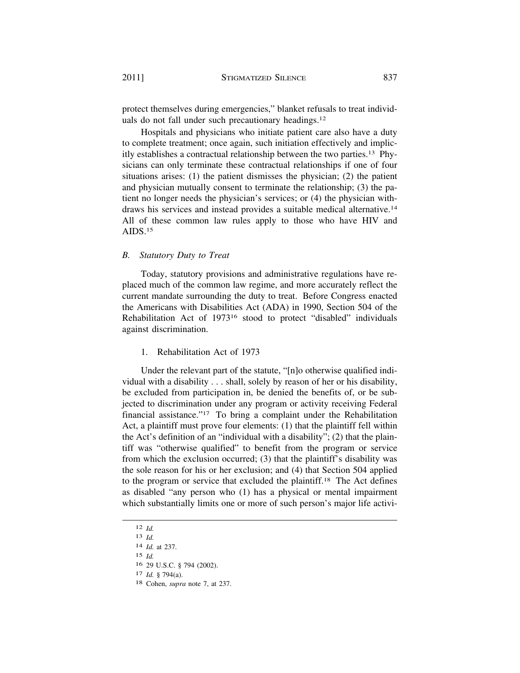protect themselves during emergencies," blanket refusals to treat individuals do not fall under such precautionary [headings.12](https://headings.12) 

Hospitals and physicians who initiate patient care also have a duty to complete treatment; once again, such initiation effectively and implicitly establishes a contractual relationship between the two [parties.13](https://parties.13) Physicians can only terminate these contractual relationships if one of four situations arises: (1) the patient dismisses the physician; (2) the patient and physician mutually consent to terminate the relationship; (3) the patient no longer needs the physician's services; or (4) the physician withdraws his services and instead provides a suitable medical [alternative.14](https://alternative.14)  All of these common law rules apply to those who have HIV and AIDS.15

### *B. Statutory Duty to Treat*

Today, statutory provisions and administrative regulations have replaced much of the common law regime, and more accurately reflect the current mandate surrounding the duty to treat. Before Congress enacted the Americans with Disabilities Act (ADA) in 1990, Section 504 of the Rehabilitation Act of 197316 stood to protect "disabled" individuals against discrimination.

### 1. Rehabilitation Act of 1973

Under the relevant part of the statute, "[n]o otherwise qualified individual with a disability . . . shall, solely by reason of her or his disability, be excluded from participation in, be denied the benefits of, or be subjected to discrimination under any program or activity receiving Federal financial assistance."17 To bring a complaint under the Rehabilitation Act, a plaintiff must prove four elements: (1) that the plaintiff fell within the Act's definition of an "individual with a disability"; (2) that the plaintiff was "otherwise qualified" to benefit from the program or service from which the exclusion occurred; (3) that the plaintiff's disability was the sole reason for his or her exclusion; and (4) that Section 504 applied to the program or service that excluded the [plaintiff.18](https://plaintiff.18) The Act defines as disabled "any person who (1) has a physical or mental impairment which substantially limits one or more of such person's major life activi-

12 *Id.*  13 *Id.*  14 *Id.* at 237. 15 *Id.*  16 29 U.S.C. § 794 (2002). 17 *Id.* § 794(a). 18 Cohen, *supra* note 7, at 237.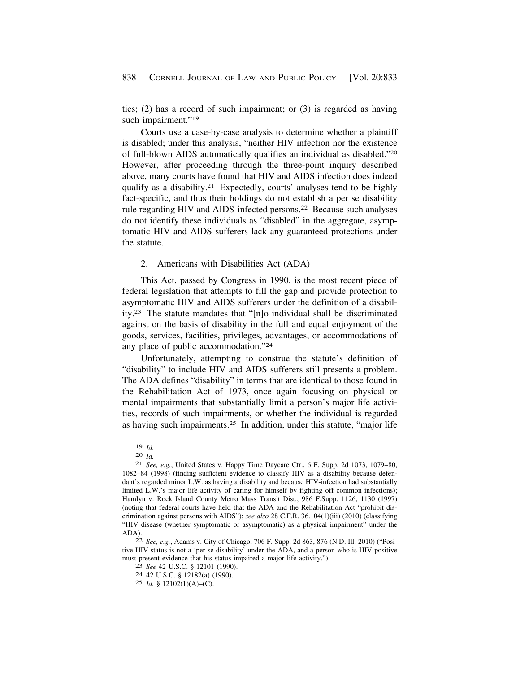ties; (2) has a record of such impairment; or (3) is regarded as having such impairment."<sup>19</sup>

Courts use a case-by-case analysis to determine whether a plaintiff is disabled; under this analysis, "neither HIV infection nor the existence of full-blown AIDS automatically qualifies an individual as disabled."20 However, after proceeding through the three-point inquiry described above, many courts have found that HIV and AIDS infection does indeed qualify as a [disability.21](https://disability.21) Expectedly, courts' analyses tend to be highly fact-specific, and thus their holdings do not establish a per se disability rule regarding HIV and AIDS-infected persons.<sup>22</sup> Because such analyses do not identify these individuals as "disabled" in the aggregate, asymptomatic HIV and AIDS sufferers lack any guaranteed protections under the statute.

# 2. Americans with Disabilities Act (ADA)

This Act, passed by Congress in 1990, is the most recent piece of federal legislation that attempts to fill the gap and provide protection to asymptomatic HIV and AIDS sufferers under the definition of a disability.23 The statute mandates that "[n]o individual shall be discriminated against on the basis of disability in the full and equal enjoyment of the goods, services, facilities, privileges, advantages, or accommodations of any place of public accommodation."24

Unfortunately, attempting to construe the statute's definition of "disability" to include HIV and AIDS sufferers still presents a problem. The ADA defines "disability" in terms that are identical to those found in the Rehabilitation Act of 1973, once again focusing on physical or mental impairments that substantially limit a person's major life activities, records of such impairments, or whether the individual is regarded as having such [impairments.25](https://impairments.25) In addition, under this statute, "major life

tive HIV status is not a 'per se disability' under the ADA, and a person who is HIV positive must present evidence that his status impaired a major life activity."). 23 *See* 42 U.S.C. § 12101 (1990). 24 42 U.S.C. § 12182(a) (1990).

<sup>19</sup>*Id.* 20 *Id.* 21 *See, e.g.*, United States v. Happy Time Daycare Ctr., 6 F. Supp. 2d 1073, 1079–80, 1082–84 (1998) (finding sufficient evidence to classify HIV as a disability because defendant's regarded minor L.W. as having a disability and because HIV-infection had substantially limited L.W.'s major life activity of caring for himself by fighting off common infections); Hamlyn v. Rock Island County Metro Mass Transit Dist., 986 F.Supp. 1126, 1130 (1997) (noting that federal courts have held that the ADA and the Rehabilitation Act "prohibit discrimination against persons with AIDS"); *see also* 28 C.F.R. 36.104(1)(iii) (2010) (classifying "HIV disease (whether symptomatic or asymptomatic) as a physical impairment" under the ADA). 22 *See, e.g.*, Adams v. City of Chicago, 706 F. Supp. 2d 863, 876 (N.D. Ill. 2010) ("Posi-

<sup>25</sup> *Id.* § 12102(1)(A)–(C).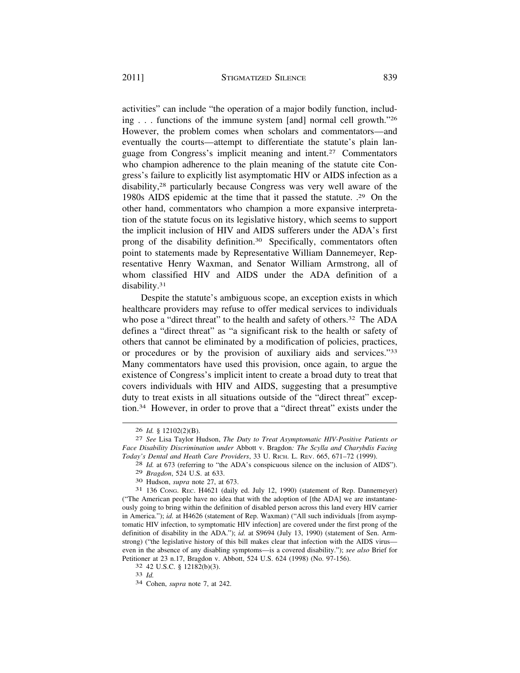activities" can include "the operation of a major bodily function, including . . . functions of the immune system [and] normal cell growth."26 However, the problem comes when scholars and commentators—and eventually the courts—attempt to differentiate the statute's plain language from Congress's implicit meaning and [intent.27](https://intent.27) Commentators who champion adherence to the plain meaning of the statute cite Congress's failure to explicitly list asymptomatic HIV or AIDS infection as a disability,28 particularly because Congress was very well aware of the 1980s AIDS epidemic at the time that it passed the statute. .29 On the other hand, commentators who champion a more expansive interpretation of the statute focus on its legislative history, which seems to support the implicit inclusion of HIV and AIDS sufferers under the ADA's first prong of the disability [definition.30](https://definition.30) Specifically, commentators often point to statements made by Representative William Dannemeyer, Representative Henry Waxman, and Senator William Armstrong, all of whom classified HIV and AIDS under the ADA definition of a [disability.31](https://disability.31) 

Despite the statute's ambiguous scope, an exception exists in which healthcare providers may refuse to offer medical services to individuals who pose a "direct threat" to the health and safety of others.<sup>32</sup> The ADA defines a "direct threat" as "a significant risk to the health or safety of others that cannot be eliminated by a modification of policies, practices, or procedures or by the provision of auxiliary aids and services."33 Many commentators have used this provision, once again, to argue the existence of Congress's implicit intent to create a broad duty to treat that covers individuals with HIV and AIDS, suggesting that a presumptive duty to treat exists in all situations outside of the "direct threat" exception.34 However, in order to prove that a "direct threat" exists under the

<sup>26</sup>*Id.* § 12102(2)(B). 27 *See* Lisa Taylor Hudson, *The Duty to Treat Asymptomatic HIV-Positive Patients or Face Disability Discrimination under* Abbott v. Bragdon*: The Scylla and Charybdis Facing Today's Dental and Heath Care Providers*, 33 U. RICH. L. REV. 665, 671–72 (1999). 28 *Id.* at 673 (referring to "the ADA's conspicuous silence on the inclusion of AIDS").

<sup>29</sup>*Bragdon*, 524 U.S. at 633. 30 Hudson, *supra* note 27, at 673. 31 136 CONG. REC. H4621 (daily ed. July 12, 1990) (statement of Rep. Dannemeyer) ("The American people have no idea that with the adoption of [the ADA] we are instantaneously going to bring within the definition of disabled person across this land every HIV carrier in America."); *id.* at H4626 (statement of Rep. Waxman) ("All such individuals [from asymptomatic HIV infection, to symptomatic HIV infection] are covered under the first prong of the definition of disability in the ADA."); *id.* at S9694 (July 13, 1990) (statement of Sen. Armstrong) ("the legislative history of this bill makes clear that infection with the AIDS virus even in the absence of any disabling symptoms—is a covered disability."); *see also* Brief for Petitioner at 23 n.17, Bragdon v. Abbott, 524 U.S. 624 (1998) (No. 97-156). 32 42 U.S.C. § 12182(b)(3). 33 *Id.* 34 Cohen, *supra* note 7, at 242.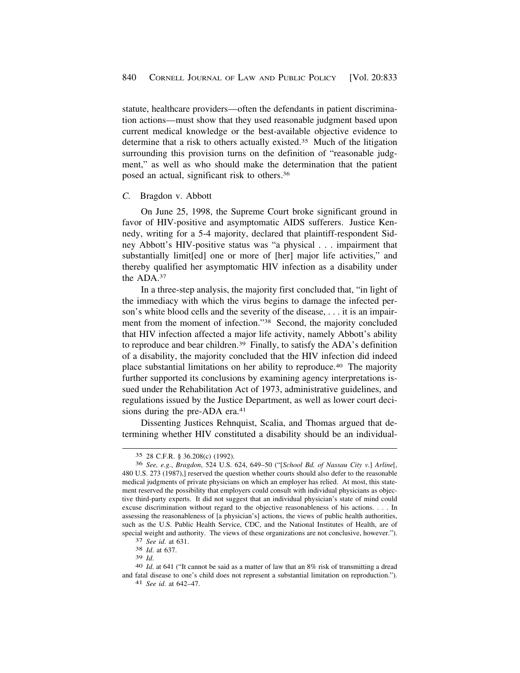statute, healthcare providers—often the defendants in patient discrimination actions—must show that they used reasonable judgment based upon current medical knowledge or the best-available objective evidence to determine that a risk to others actually [existed.35](https://existed.35) Much of the litigation surrounding this provision turns on the definition of "reasonable judgment," as well as who should make the determination that the patient posed an actual, significant risk to [others.36](https://others.36)

### *C.* Bragdon v. Abbott

On June 25, 1998, the Supreme Court broke significant ground in favor of HIV-positive and asymptomatic AIDS sufferers. Justice Kennedy, writing for a 5-4 majority, declared that plaintiff-respondent Sidney Abbott's HIV-positive status was "a physical . . . impairment that substantially limit[ed] one or more of [her] major life activities," and thereby qualified her asymptomatic HIV infection as a disability under the ADA.37

In a three-step analysis, the majority first concluded that, "in light of the immediacy with which the virus begins to damage the infected person's white blood cells and the severity of the disease, . . . it is an impairment from the moment of infection."38 Second, the majority concluded that HIV infection affected a major life activity, namely Abbott's ability to reproduce and bear [children.39](https://children.39) Finally, to satisfy the ADA's definition of a disability, the majority concluded that the HIV infection did indeed place substantial limitations on her ability to [reproduce.40](https://reproduce.40) The majority further supported its conclusions by examining agency interpretations issued under the Rehabilitation Act of 1973, administrative guidelines, and regulations issued by the Justice Department, as well as lower court decisions during the pre-ADA era.<sup>41</sup>

Dissenting Justices Rehnquist, Scalia, and Thomas argued that determining whether HIV constituted a disability should be an individual-

<sup>35 28</sup> C.F.R. § 36.208(c) (1992).

<sup>36</sup> *See, e.g.*, *Bragdon*, 524 U.S. 624, 649–50 ("[*School Bd. of Nassau City v.*] *Arline*[, 480 U.S. 273 (1987),] reserved the question whether courts should also defer to the reasonable medical judgments of private physicians on which an employer has relied. At most, this statement reserved the possibility that employers could consult with individual physicians as objective third-party experts. It did not suggest that an individual physician's state of mind could excuse discrimination without regard to the objective reasonableness of his actions. . . . In assessing the reasonableness of [a physician's] actions, the views of public health authorities, such as the U.S. Public Health Service, CDC, and the National Institutes of Health, are of special weight and authority. The views of these organizations are not conclusive, however."). <sup>37</sup> *See id.* at 631. <sup>38</sup> *Id.* at 637. <sup>39</sup> *Id.* 

<sup>39</sup>*Id*. 40 *Id*. at 641 ("It cannot be said as a matter of law that an 8% risk of transmitting a dread and fatal disease to one's child does not represent a substantial limitation on reproduction."). 41 *See id*. at 642–47.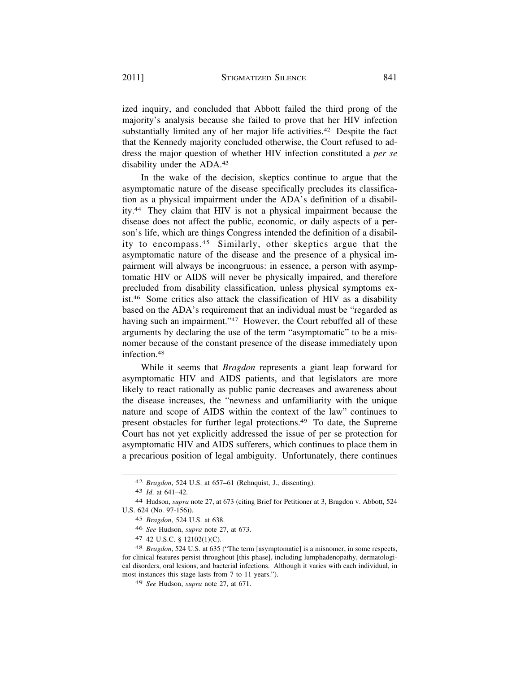ized inquiry, and concluded that Abbott failed the third prong of the majority's analysis because she failed to prove that her HIV infection substantially limited any of her major life activities.<sup>42</sup> Despite the fact that the Kennedy majority concluded otherwise, the Court refused to address the major question of whether HIV infection constituted a *per se*  disability under the ADA.43

In the wake of the decision, skeptics continue to argue that the asymptomatic nature of the disease specifically precludes its classification as a physical impairment under the ADA's definition of a disability.44 They claim that HIV is not a physical impairment because the disease does not affect the public, economic, or daily aspects of a person's life, which are things Congress intended the definition of a disability to [encompass.45](https://encompass.45) Similarly, other skeptics argue that the asymptomatic nature of the disease and the presence of a physical impairment will always be incongruous: in essence, a person with asymptomatic HIV or AIDS will never be physically impaired, and therefore precluded from disability classification, unless physical symptoms exist.46 Some critics also attack the classification of HIV as a disability based on the ADA's requirement that an individual must be "regarded as having such an impairment."<sup>47</sup> However, the Court rebuffed all of these arguments by declaring the use of the term "asymptomatic" to be a misnomer because of the constant presence of the disease immediately upon [infection.48](https://infection.48) 

While it seems that *Bragdon* represents a giant leap forward for asymptomatic HIV and AIDS patients, and that legislators are more likely to react rationally as public panic decreases and awareness about the disease increases, the "newness and unfamiliarity with the unique nature and scope of AIDS within the context of the law" continues to present obstacles for further legal [protections.49](https://protections.49) To date, the Supreme Court has not yet explicitly addressed the issue of per se protection for asymptomatic HIV and AIDS sufferers, which continues to place them in a precarious position of legal ambiguity. Unfortunately, there continues

<sup>42</sup> *Bragdon*, 524 U.S. at 657–61 (Rehnquist, J., dissenting).

<sup>43</sup> *Id*. at 641–42.

<sup>44</sup> Hudson, *supra* note 27, at 673 (citing Brief for Petitioner at 3, Bragdon v. Abbott, 524 U.S. 624 (No. 97-156)).

<sup>45</sup> *Bragdon*, 524 U.S. at 638.

<sup>46</sup> *See* Hudson, *supra* note 27, at 673.

<sup>47 42</sup> U.S.C. § 12102(1)(C).

<sup>48</sup> *Bragdon*, 524 U.S. at 635 ("The term [asymptomatic] is a misnomer, in some respects, for clinical features persist throughout [this phase], including lumphadenopathy, dermatological disorders, oral lesions, and bacterial infections. Although it varies with each individual, in most instances this stage lasts from 7 to 11 years.").

<sup>49</sup> *See* Hudson, *supra* note 27, at 671.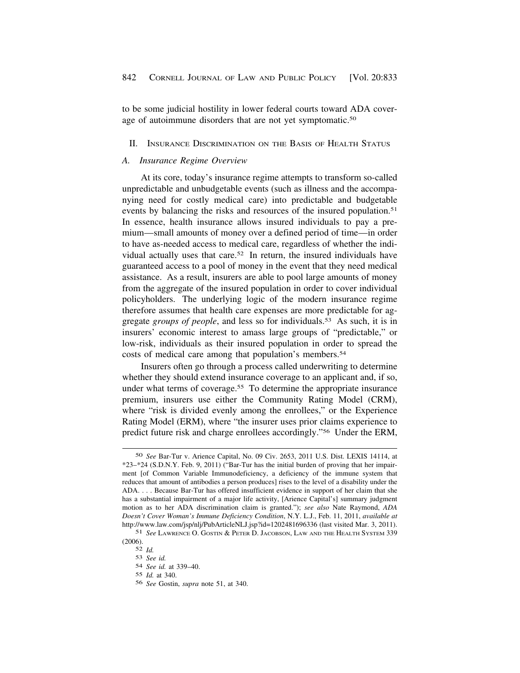to be some judicial hostility in lower federal courts toward ADA coverage of autoimmune disorders that are not yet symptomatic.<sup>50</sup>

### II. INSURANCE DISCRIMINATION ON THE BASIS OF HEALTH STATUS

### *A. Insurance Regime Overview*

At its core, today's insurance regime attempts to transform so-called unpredictable and unbudgetable events (such as illness and the accompanying need for costly medical care) into predictable and budgetable events by balancing the risks and resources of the insured population.<sup>51</sup> In essence, health insurance allows insured individuals to pay a premium—small amounts of money over a defined period of time—in order to have as-needed access to medical care, regardless of whether the individual actually uses that care.52 In return, the insured individuals have guaranteed access to a pool of money in the event that they need medical assistance. As a result, insurers are able to pool large amounts of money from the aggregate of the insured population in order to cover individual policyholders. The underlying logic of the modern insurance regime therefore assumes that health care expenses are more predictable for aggregate *groups of people*, and less so for [individuals.53](https://individuals.53) As such, it is in insurers' economic interest to amass large groups of "predictable," or low-risk, individuals as their insured population in order to spread the costs of medical care among that population's [members.54](https://members.54) 

Insurers often go through a process called underwriting to determine whether they should extend insurance coverage to an applicant and, if so, under what terms of coverage.<sup>55</sup> To determine the appropriate insurance premium, insurers use either the Community Rating Model (CRM), where "risk is divided evenly among the enrollees," or the Experience Rating Model (ERM), where "the insurer uses prior claims experience to predict future risk and charge enrollees accordingly."56 Under the ERM,

<sup>50</sup> *See* Bar-Tur v. Arience Capital, No. 09 Civ. 2653, 2011 U.S. Dist. LEXIS 14114, at \*23–\*24 (S.D.N.Y. Feb. 9, 2011) ("Bar-Tur has the initial burden of proving that her impairment [of Common Variable Immunodeficiency, a deficiency of the immune system that reduces that amount of antibodies a person produces] rises to the level of a disability under the ADA. . . . Because Bar-Tur has offered insufficient evidence in support of her claim that she has a substantial impairment of a major life activity, [Arience Capital's] summary judgment motion as to her ADA discrimination claim is granted."); *see also* Nate Raymond, *ADA Doesn't Cover Woman's Immune Deficiency Condition*, N.Y. L.J., Feb. 11, 2011, *available at*  <http://www.law.com/jsp/nlj/PubArticleNLJ.jsp?id=1202481696336>(last visited Mar. 3, 2011).

<sup>51</sup> *See* LAWRENCE O. GOSTIN & PETER D. JACOBSON, LAW AND THE HEALTH SYSTEM 339 (2006).

<sup>52</sup> *Id.* 

<sup>53</sup> *See id.* 

<sup>54</sup> *See id.* at 339–40.

<sup>55</sup> *Id.* at 340.

<sup>56</sup> *See* Gostin, *supra* note 51, at 340.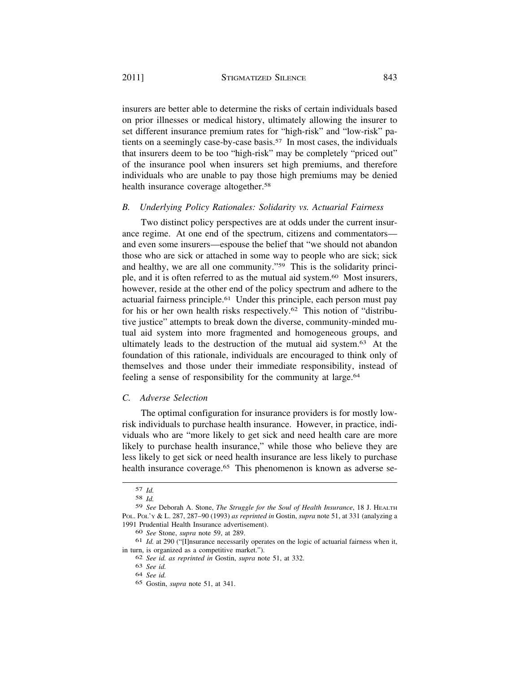insurers are better able to determine the risks of certain individuals based on prior illnesses or medical history, ultimately allowing the insurer to set different insurance premium rates for "high-risk" and "low-risk" patients on a seemingly case-by-case [basis.57](https://basis.57) In most cases, the individuals that insurers deem to be too "high-risk" may be completely "priced out" of the insurance pool when insurers set high premiums, and therefore individuals who are unable to pay those high premiums may be denied health insurance coverage altogether.<sup>58</sup>

### *B. Underlying Policy Rationales: Solidarity vs. Actuarial Fairness*

Two distinct policy perspectives are at odds under the current insurance regime. At one end of the spectrum, citizens and commentators and even some insurers—espouse the belief that "we should not abandon those who are sick or attached in some way to people who are sick; sick and healthy, we are all one community."59 This is the solidarity principle, and it is often referred to as the mutual aid [system.60](https://system.60) Most insurers, however, reside at the other end of the policy spectrum and adhere to the actuarial fairness [principle.61](https://principle.61) Under this principle, each person must pay for his or her own health risks [respectively.62](https://respectively.62) This notion of "distributive justice" attempts to break down the diverse, community-minded mutual aid system into more fragmented and homogeneous groups, and ultimately leads to the destruction of the mutual aid [system.63](https://system.63) At the foundation of this rationale, individuals are encouraged to think only of themselves and those under their immediate responsibility, instead of feeling a sense of responsibility for the community at [large.64](https://large.64)

### *C. Adverse Selection*

The optimal configuration for insurance providers is for mostly lowrisk individuals to purchase health insurance. However, in practice, individuals who are "more likely to get sick and need health care are more likely to purchase health insurance," while those who believe they are less likely to get sick or need health insurance are less likely to purchase health insurance coverage.<sup>65</sup> This phenomenon is known as adverse se-

<sup>57</sup> *Id.* 

<sup>58</sup> *Id.* 

<sup>59</sup> *See* Deborah A. Stone, *The Struggle for the Soul of Health Insurance*, 18 J. HEALTH POL. POL'Y & L. 287, 287–90 (1993) *as reprinted in* Gostin, *supra* note 51, at 331 (analyzing a 1991 Prudential Health Insurance advertisement).

<sup>60</sup> *See* Stone, *supra* note 59, at 289.

<sup>61</sup> *Id.* at 290 ("[I]nsurance necessarily operates on the logic of actuarial fairness when it, in turn, is organized as a competitive market.").

<sup>62</sup> *See id. as reprinted in* Gostin, *supra* note 51, at 332.

<sup>63</sup> *See id.* 

<sup>64</sup> *See id.* 

<sup>65</sup> Gostin, *supra* note 51, at 341.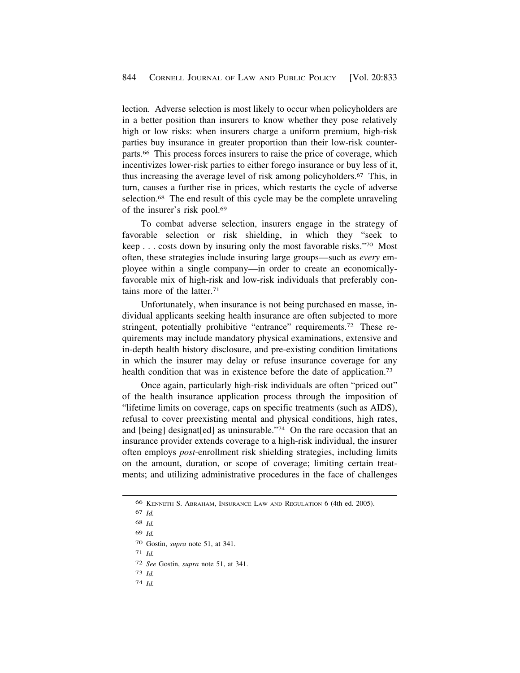lection. Adverse selection is most likely to occur when policyholders are in a better position than insurers to know whether they pose relatively high or low risks: when insurers charge a uniform premium, high-risk parties buy insurance in greater proportion than their low-risk counter[parts.66](https://parts.66) This process forces insurers to raise the price of coverage, which incentivizes lower-risk parties to either forego insurance or buy less of it, thus increasing the average level of risk among [policyholders.67](https://policyholders.67) This, in turn, causes a further rise in prices, which restarts the cycle of adverse selection.<sup>68</sup> The end result of this cycle may be the complete unraveling of the insurer's risk pool.69

To combat adverse selection, insurers engage in the strategy of favorable selection or risk shielding, in which they "seek to keep . . . costs down by insuring only the most favorable risks."70 Most often, these strategies include insuring large groups—such as *every* employee within a single company—in order to create an economicallyfavorable mix of high-risk and low-risk individuals that preferably contains more of the [latter.71](https://latter.71) 

Unfortunately, when insurance is not being purchased en masse, individual applicants seeking health insurance are often subjected to more stringent, potentially prohibitive "entrance" requirements.<sup>72</sup> These requirements may include mandatory physical examinations, extensive and in-depth health history disclosure, and pre-existing condition limitations in which the insurer may delay or refuse insurance coverage for any health condition that was in existence before the date of application.<sup>73</sup>

Once again, particularly high-risk individuals are often "priced out" of the health insurance application process through the imposition of "lifetime limits on coverage, caps on specific treatments (such as AIDS), refusal to cover preexisting mental and physical conditions, high rates, and [being] designat[ed] as uninsurable."74 On the rare occasion that an insurance provider extends coverage to a high-risk individual, the insurer often employs *post*-enrollment risk shielding strategies, including limits on the amount, duration, or scope of coverage; limiting certain treatments; and utilizing administrative procedures in the face of challenges

- 68 *Id.*
- 69 *Id.*
- 70 Gostin, *supra* note 51, at 341.
- 71 *Id.*
- 72 *See* Gostin, *supra* note 51, at 341.
- 73 *Id.*
- 74 *Id.*

<sup>66</sup> KENNETH S. ABRAHAM, INSURANCE LAW AND REGULATION 6 (4th ed. 2005).

<sup>67</sup> *Id.*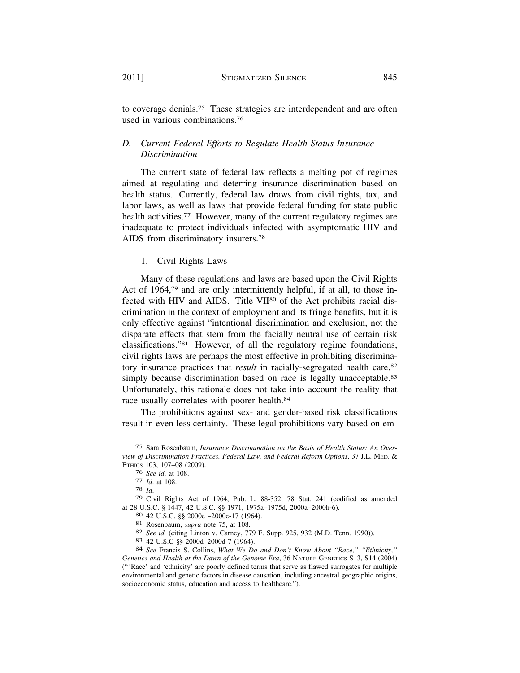to coverage [denials.75](https://denials.75) These strategies are interdependent and are often used in various combinations.<sup>76</sup>

# *D. Current Federal Efforts to Regulate Health Status Insurance Discrimination*

The current state of federal law reflects a melting pot of regimes aimed at regulating and deterring insurance discrimination based on health status. Currently, federal law draws from civil rights, tax, and labor laws, as well as laws that provide federal funding for state public health activities.<sup>77</sup> However, many of the current regulatory regimes are inadequate to protect individuals infected with asymptomatic HIV and AIDS from discriminatory [insurers.78](https://insurers.78)

# 1. Civil Rights Laws

Many of these regulations and laws are based upon the Civil Rights Act of 1964,79 and are only intermittently helpful, if at all, to those infected with HIV and AIDS. Title VII<sup>80</sup> of the Act prohibits racial discrimination in the context of employment and its fringe benefits, but it is only effective against "intentional discrimination and exclusion, not the disparate effects that stem from the facially neutral use of certain risk classifications."81 However, of all the regulatory regime foundations, civil rights laws are perhaps the most effective in prohibiting discriminatory insurance practices that *result* in racially-segregated health care,<sup>82</sup> simply because discrimination based on race is legally unacceptable.<sup>83</sup> Unfortunately, this rationale does not take into account the reality that race usually correlates with poorer health.<sup>84</sup>

The prohibitions against sex- and gender-based risk classifications result in even less certainty. These legal prohibitions vary based on em-

<sup>75</sup> Sara Rosenbaum, *Insurance Discrimination on the Basis of Health Status: An Overview of Discrimination Practices, Federal Law, and Federal Reform Options*, 37 J.L. MED. & ETHICS 103, 107–08 (2009).

<sup>76</sup> *See id.* at 108.<br>
77 *Id.* at 108.<br>
78 *Id.*<br>
79 Civil Rights Act of 1964, Pub. L. 88-352, 78 Stat. 241 (codified as amended at 28 U.S.C. § 1447, 42 U.S.C. §§ 1971, 1975a–1975d, 2000a–2000h-6).

<sup>80 42</sup> U.S.C. §§ 2000e -2000e-17 (1964).<br>
81 Rosenbaum, *supra* note 75, at 108.<br>
82 *See id.* (citing Linton v. Carney, 779 F. Supp. 925, 932 (M.D. Tenn. 1990)).<br>
83 42 U.S.C §§ 2000d-2000d-7 (1964).<br>
84 *See* Francis S. C

*Genetics and Health at the Dawn of the Genome Era*, 36 NATURE GENETICS S13, S14 (2004) ("'Race' and 'ethnicity' are poorly defined terms that serve as flawed surrogates for multiple environmental and genetic factors in disease causation, including ancestral geographic origins, socioeconomic status, education and access to healthcare.").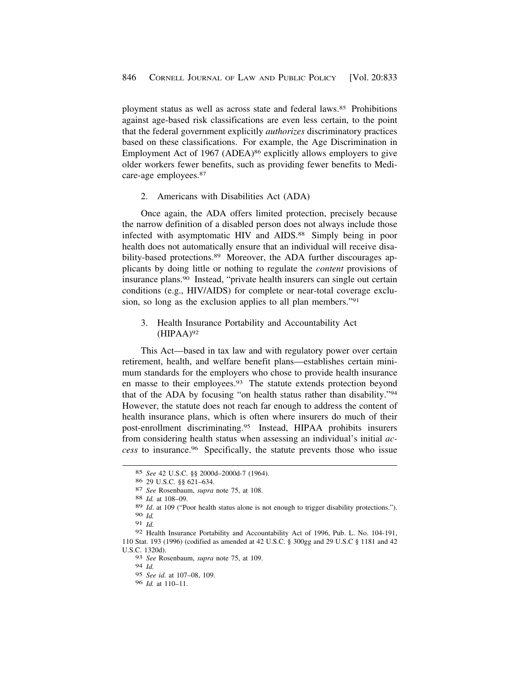<span id="page-13-0"></span>ployment status as well as across state and federal laws.85 Prohibitions against age-based risk classifications are even less certain, to the point that the federal government explicitly *authorizes* discriminatory practices based on these classifications. For example, the Age Discrimination in Employment Act of 1967 (ADEA)<sup>86</sup> explicitly allows employers to give older workers fewer benefits, such as providing fewer benefits to Medicare-age [employees.87](https://employees.87) 

2. Americans with Disabilities Act (ADA)

Once again, the ADA offers limited protection, precisely because the narrow definition of a disabled person does not always include those infected with asymptomatic HIV and AIDS.<sup>88</sup> Simply being in poor health does not automatically ensure that an individual will receive disability-based protections.<sup>89</sup> Moreover, the ADA further discourages applicants by doing little or nothing to regulate the *content* provisions of insurance [plans.90](https://plans.90) Instead, "private health insurers can single out certain conditions (e.g., HIV/AIDS) for complete or near-total coverage exclusion, so long as the exclusion applies to all plan members."91

3. Health Insurance Portability and Accountability Act  $(HIPAA)^{92}$ 

This Act—based in tax law and with regulatory power over certain retirement, health, and welfare benefit plans—establishes certain minimum standards for the employers who chose to provide health insurance en masse to their [employees.93](https://employees.93) The statute extends protection beyond that of the ADA by focusing "on health status rather than disability."94 However, the statute does not reach far enough to address the content of health insurance plans, which is often where insurers do much of their post-enrollment [discriminating.95](https://discriminating.95) Instead, HIPAA prohibits insurers from considering health status when assessing an individual's initial *access* to [insurance.96](https://insurance.96) Specifically, the statute prevents those who issue

<sup>85</sup> *See* 42 U.S.C. §§ 2000d–2000d-7 (1964).

<sup>86 29</sup> U.S.C. §§ 621–634. 87 *See* Rosenbaum, *supra* note 75, at 108. 88 *Id.* at 108–09.

<sup>89</sup> *Id*. at 109 ("Poor health status alone is not enough to trigger disability protections."). 90 *Id.* 

<sup>91</sup> *Id.* 

<sup>92</sup> Health Insurance Portability and Accountability Act of 1996, Pub. L. No. 104-191, 110 Stat. 193 (1996) (codified as amended at 42 U.S.C. § 300gg and 29 U.S.C § 1181 and 42 U.S.C. 1320d).

<sup>93</sup> *See* Rosenbaum, *supra* note 75, at 109.

<sup>94</sup> *Id.* 

<sup>95</sup> *See id.* at 107–08, 109.

<sup>96</sup> *Id.* at 110–11.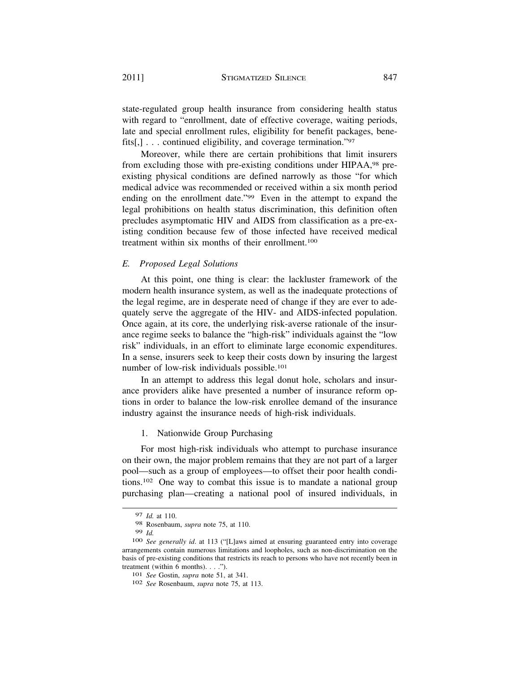state-regulated group health insurance from considering health status with regard to "enrollment, date of effective coverage, waiting periods, late and special enrollment rules, eligibility for benefit packages, benefits[,] . . . continued eligibility, and coverage termination."97

Moreover, while there are certain prohibitions that limit insurers from excluding those with pre-existing conditions under HIPAA,98 preexisting physical conditions are defined narrowly as those "for which medical advice was recommended or received within a six month period ending on the enrollment date."<sup>99</sup> Even in the attempt to expand the legal prohibitions on health status discrimination, this definition often precludes asymptomatic HIV and AIDS from classification as a pre-existing condition because few of those infected have received medical treatment within six months of their enrollment.100

### *E. Proposed Legal Solutions*

At this point, one thing is clear: the lackluster framework of the modern health insurance system, as well as the inadequate protections of the legal regime, are in desperate need of change if they are ever to adequately serve the aggregate of the HIV- and AIDS-infected population. Once again, at its core, the underlying risk-averse rationale of the insurance regime seeks to balance the "high-risk" individuals against the "low risk" individuals, in an effort to eliminate large economic expenditures. In a sense, insurers seek to keep their costs down by insuring the largest number of low-risk individuals possible.101

In an attempt to address this legal donut hole, scholars and insurance providers alike have presented a number of insurance reform options in order to balance the low-risk enrollee demand of the insurance industry against the insurance needs of high-risk individuals.

### 1. Nationwide Group Purchasing

For most high-risk individuals who attempt to purchase insurance on their own, the major problem remains that they are not part of a larger pool—such as a group of employees—to offset their poor health conditions.102 One way to combat this issue is to mandate a national group purchasing plan—creating a national pool of insured individuals, in

<sup>97</sup> *Id.* at 110.

<sup>98</sup> Rosenbaum, *supra* note 75, at 110.

<sup>99</sup>*Id.* 100 *See generally id*. at 113 ("[L]aws aimed at ensuring guaranteed entry into coverage arrangements contain numerous limitations and loopholes, such as non-discrimination on the basis of pre-existing conditions that restricts its reach to persons who have not recently been in treatment (within 6 months). . . ."). 101 *See* Gostin, *supra* note 51, at 341. 102 *See* Rosenbaum, *supra* note 75, at 113.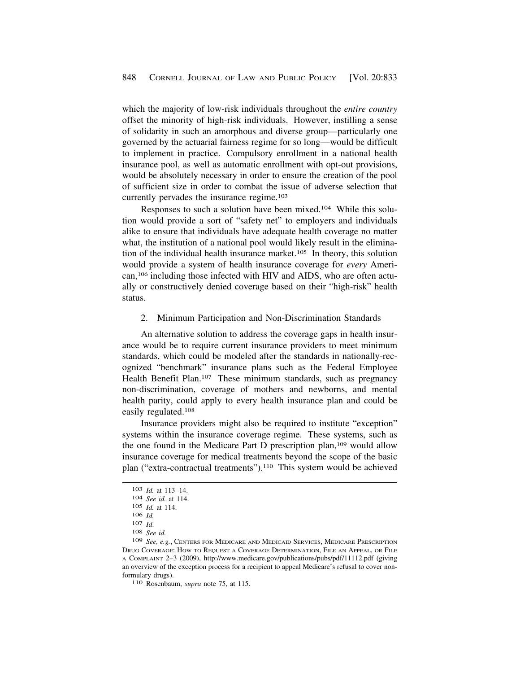<span id="page-15-0"></span>which the majority of low-risk individuals throughout the *entire country*  offset the minority of high-risk individuals. However, instilling a sense of solidarity in such an amorphous and diverse group—particularly one governed by the actuarial fairness regime for so long—would be difficult to implement in practice. Compulsory enrollment in a national health insurance pool, as well as automatic enrollment with opt-out provisions, would be absolutely necessary in order to ensure the creation of the pool of sufficient size in order to combat the issue of adverse selection that currently pervades the insurance regime.<sup>103</sup>

Responses to such a solution have been mixed.104 While this solution would provide a sort of "safety net" to employers and individuals alike to ensure that individuals have adequate health coverage no matter what, the institution of a national pool would likely result in the elimination of the individual health insurance market.105 In theory, this solution would provide a system of health insurance coverage for *every* American,106 including those infected with HIV and AIDS, who are often actually or constructively denied coverage based on their "high-risk" health status.

# 2. Minimum Participation and Non-Discrimination Standards

An alternative solution to address the coverage gaps in health insurance would be to require current insurance providers to meet minimum standards, which could be modeled after the standards in nationally-recognized "benchmark" insurance plans such as the Federal Employee Health Benefit Plan.<sup>107</sup> These minimum standards, such as pregnancy non-discrimination, coverage of mothers and newborns, and mental health parity, could apply to every health insurance plan and could be easily regulated.108

Insurance providers might also be required to institute "exception" systems within the insurance coverage regime. These systems, such as the one found in the Medicare Part D prescription plan,109 would allow insurance coverage for medical treatments beyond the scope of the basic plan ("extra-contractual treatments").110 This system would be achieved

<sup>103</sup>*Id.* at 113–14. 104 *See id.* at 114.

<sup>105</sup> *Id.* at 114.

<sup>106</sup>*Id.* 107 *Id*. 108 *See id.* 

<sup>109</sup> *See, e.g.*, CENTERS FOR MEDICARE AND MEDICAID SERVICES, MEDICARE PRESCRIPTION DRUG COVERAGE: HOW TO REQUEST A COVERAGE DETERMINATION, FILE AN APPEAL, OR FILE A COMPLAINT 2–3 (2009), <http://www.medicare.gov/publications/pubs/pdf/11112.pdf> (giving an overview of the exception process for a recipient to appeal Medicare's refusal to cover nonformulary drugs). 110 Rosenbaum, *supra* note 75, at 115.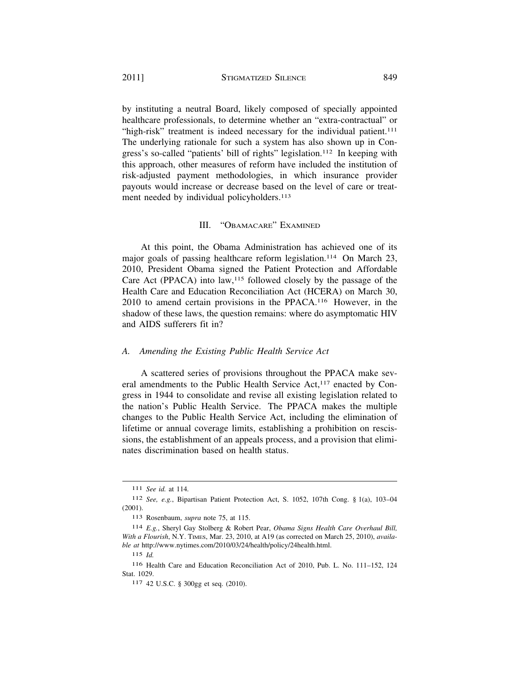by instituting a neutral Board, likely composed of specially appointed healthcare professionals, to determine whether an "extra-contractual" or "high-risk" treatment is indeed necessary for the individual patient.<sup>111</sup> The underlying rationale for such a system has also shown up in Congress's so-called "patients' bill of rights" legislation.112 In keeping with this approach, other measures of reform have included the institution of risk-adjusted payment methodologies, in which insurance provider payouts would increase or decrease based on the level of care or treatment needed by individual policyholders.<sup>113</sup>

### III. "OBAMACARE" EXAMINED

At this point, the Obama Administration has achieved one of its major goals of passing healthcare reform legislation.<sup>114</sup> On March 23, 2010, President Obama signed the Patient Protection and Affordable Care Act (PPACA) into  $law$ ,<sup>115</sup> followed closely by the passage of the Health Care and Education Reconciliation Act (HCERA) on March 30, 2010 to amend certain provisions in the PPACA.116 However, in the shadow of these laws, the question remains: where do asymptomatic HIV and AIDS sufferers fit in?

### *A. Amending the Existing Public Health Service Act*

A scattered series of provisions throughout the PPACA make several amendments to the Public Health Service Act,<sup>117</sup> enacted by Congress in 1944 to consolidate and revise all existing legislation related to the nation's Public Health Service. The PPACA makes the multiple changes to the Public Health Service Act, including the elimination of lifetime or annual coverage limits, establishing a prohibition on rescissions, the establishment of an appeals process, and a provision that eliminates discrimination based on health status.

<sup>111</sup> *See id.* at 114*.* 

<sup>112</sup> *See, e.g.*, Bipartisan Patient Protection Act, S. 1052, 107th Cong. § 1(a), 103–04 (2001).

<sup>113</sup> Rosenbaum, *supra* note 75, at 115.

<sup>114</sup> *E.g.*, Sheryl Gay Stolberg & Robert Pear, *Obama Signs Health Care Overhaul Bill, With a Flourish*, N.Y. TIMES, Mar. 23, 2010, at A19 (as corrected on March 25, 2010), *available at* [http://www.nytimes.com/2010/03/24/health/policy/24health.html.](http://www.nytimes.com/2010/03/24/health/policy/24health.html)

<sup>115</sup> *Id.* 

<sup>116</sup> Health Care and Education Reconciliation Act of 2010, Pub. L. No. 111–152, 124 Stat. 1029.

<sup>117 42</sup> U.S.C. § 300gg et seq. (2010).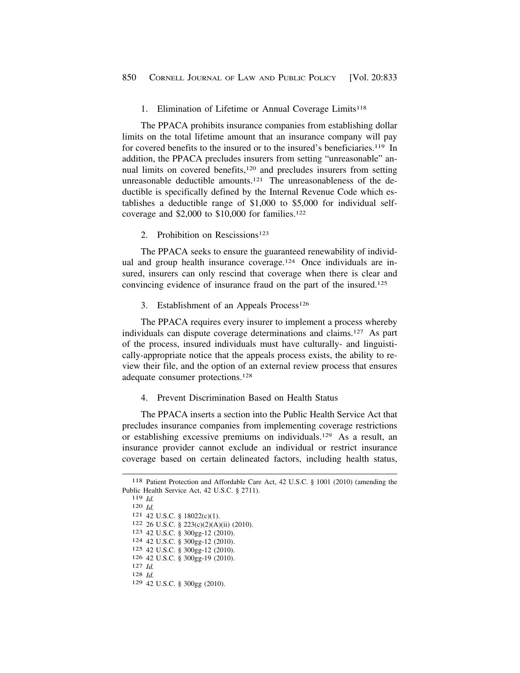# <span id="page-17-0"></span>1. Elimination of Lifetime or Annual Coverage Limits<sup>118</sup>

The PPACA prohibits insurance companies from establishing dollar limits on the total lifetime amount that an insurance company will pay for covered benefits to the insured or to the insured's beneficiaries.<sup>119</sup> In addition, the PPACA precludes insurers from setting "unreasonable" annual limits on covered benefits,120 and precludes insurers from setting unreasonable deductible amounts.<sup>121</sup> The unreasonableness of the deductible is specifically defined by the Internal Revenue Code which establishes a deductible range of \$1,000 to \$5,000 for individual selfcoverage and  $$2,000$  to  $$10,000$  for families.<sup>122</sup>

# 2. Prohibition on Rescissions<sup>123</sup>

The PPACA seeks to ensure the guaranteed renewability of individual and group health insurance coverage.<sup>124</sup> Once individuals are insured, insurers can only rescind that coverage when there is clear and convincing evidence of insurance fraud on the part of the insured.125

3. Establishment of an Appeals Process<sup>126</sup>

The PPACA requires every insurer to implement a process whereby individuals can dispute coverage determinations and claims.127 As part of the process, insured individuals must have culturally- and linguistically-appropriate notice that the appeals process exists, the ability to review their file, and the option of an external review process that ensures adequate consumer protections.128

# 4. Prevent Discrimination Based on Health Status

The PPACA inserts a section into the Public Health Service Act that precludes insurance companies from implementing coverage restrictions or establishing excessive premiums on individuals.129 As a result, an insurance provider cannot exclude an individual or restrict insurance coverage based on certain delineated factors, including health status,

- 126 42 U.S.C. § 300gg-19 (2010). 127 *Id.* 128 *Id.*
- 
- 129 42 U.S.C. § 300gg (2010).

<sup>118</sup> Patient Protection and Affordable Care Act, 42 U.S.C. § 1001 (2010) (amending the Public Health Service Act, 42 U.S.C. § 2711). 119 *Id.*<br>
120 *Id.*<br>
121 42 U.S.C. § 18022(c)(1).<br>
122 26 U.S.C. § 223(c)(2)(A)(ii) (2010).<br>
123 42 U.S.C. § 300gg-12 (2010).<br>
124 42 U.S.C. § 300gg-12 (2010).

<sup>125 42</sup> U.S.C. § 300gg-12 (2010).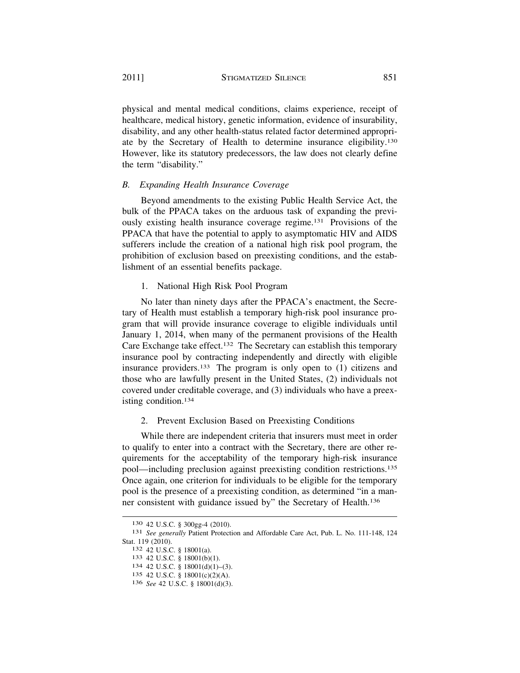physical and mental medical conditions, claims experience, receipt of healthcare, medical history, genetic information, evidence of insurability, disability, and any other health-status related factor determined appropriate by the Secretary of Health to determine insurance eligibility.130 However, like its statutory predecessors, the law does not clearly define the term "disability."

# *B. Expanding Health Insurance Coverage*

Beyond amendments to the existing Public Health Service Act, the bulk of the PPACA takes on the arduous task of expanding the previously existing health insurance coverage regime.131 Provisions of the PPACA that have the potential to apply to asymptomatic HIV and AIDS sufferers include the creation of a national high risk pool program, the prohibition of exclusion based on preexisting conditions, and the establishment of an essential benefits package.

1. National High Risk Pool Program

No later than ninety days after the PPACA's enactment, the Secretary of Health must establish a temporary high-risk pool insurance program that will provide insurance coverage to eligible individuals until January 1, 2014, when many of the permanent provisions of the Health Care Exchange take effect.132 The Secretary can establish this temporary insurance pool by contracting independently and directly with eligible insurance providers.133 The program is only open to (1) citizens and those who are lawfully present in the United States, (2) individuals not covered under creditable coverage, and (3) individuals who have a preexisting condition.134

# 2. Prevent Exclusion Based on Preexisting Conditions

While there are independent criteria that insurers must meet in order to qualify to enter into a contract with the Secretary, there are other requirements for the acceptability of the temporary high-risk insurance pool—including preclusion against preexisting condition restrictions.135 Once again, one criterion for individuals to be eligible for the temporary pool is the presence of a preexisting condition, as determined "in a manner consistent with guidance issued by" the Secretary of Health.136

<sup>130 42</sup> U.S.C. § 300gg-4 (2010). 131 *See generally* Patient Protection and Affordable Care Act, Pub. L. No. 111-148, 124 Stat. 119 (2010).<br>
<sup>132</sup> 42 U.S.C. § 18001(a).<br>
<sup>133</sup> 42 U.S.C. § 18001(b)(1).<br>
<sup>134</sup> 42 U.S.C. § 18001(d)(1)–(3).

<sup>135 42</sup> U.S.C. § 18001(c)(2)(A).

<sup>136</sup> *See* 42 U.S.C. § 18001(d)(3).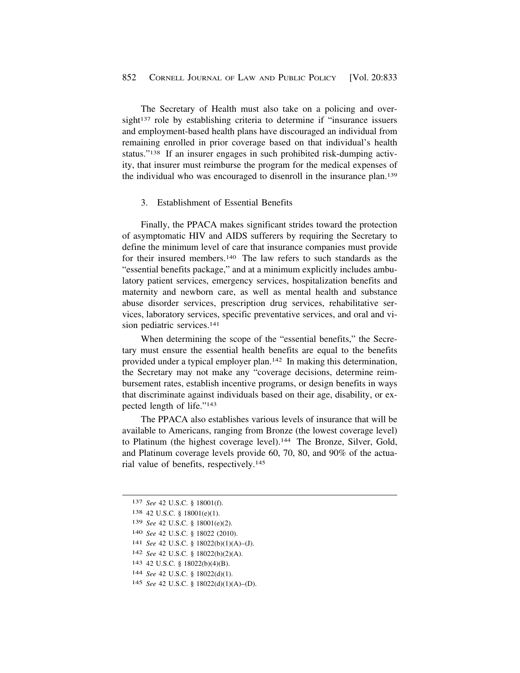<span id="page-19-0"></span>The Secretary of Health must also take on a policing and oversight<sup>137</sup> role by establishing criteria to determine if "insurance issuers" and employment-based health plans have discouraged an individual from remaining enrolled in prior coverage based on that individual's health status."138 If an insurer engages in such prohibited risk-dumping activity, that insurer must reimburse the program for the medical expenses of the individual who was encouraged to disenroll in the insurance plan.139

### 3. Establishment of Essential Benefits

Finally, the PPACA makes significant strides toward the protection of asymptomatic HIV and AIDS sufferers by requiring the Secretary to define the minimum level of care that insurance companies must provide for their insured members.140 The law refers to such standards as the "essential benefits package," and at a minimum explicitly includes ambulatory patient services, emergency services, hospitalization benefits and maternity and newborn care, as well as mental health and substance abuse disorder services, prescription drug services, rehabilitative services, laboratory services, specific preventative services, and oral and vision pediatric services.141

When determining the scope of the "essential benefits," the Secretary must ensure the essential health benefits are equal to the benefits provided under a typical employer plan.142 In making this determination, the Secretary may not make any "coverage decisions, determine reimbursement rates, establish incentive programs, or design benefits in ways that discriminate against individuals based on their age, disability, or expected length of life."143

The PPACA also establishes various levels of insurance that will be available to Americans, ranging from Bronze (the lowest coverage level) to Platinum (the highest coverage level).<sup>144</sup> The Bronze, Silver, Gold, and Platinum coverage levels provide 60, 70, 80, and 90% of the actuarial value of benefits, respectively.145

- 143 42 U.S.C. § 18022(b)(4)(B).
- 144 *See* 42 U.S.C. § 18022(d)(1).
- 145 *See* 42 U.S.C. § 18022(d)(1)(A)–(D).

<sup>137</sup> *See* 42 U.S.C. § 18001(f).

<sup>138 42</sup> U.S.C. § 18001(e)(1).

<sup>139</sup> *See* 42 U.S.C. § 18001(e)(2).

<sup>140</sup> *See* 42 U.S.C. § 18022 (2010).

<sup>141</sup> *See* 42 U.S.C. § 18022(b)(1)(A)–(J).

<sup>142</sup> *See* 42 U.S.C. § 18022(b)(2)(A).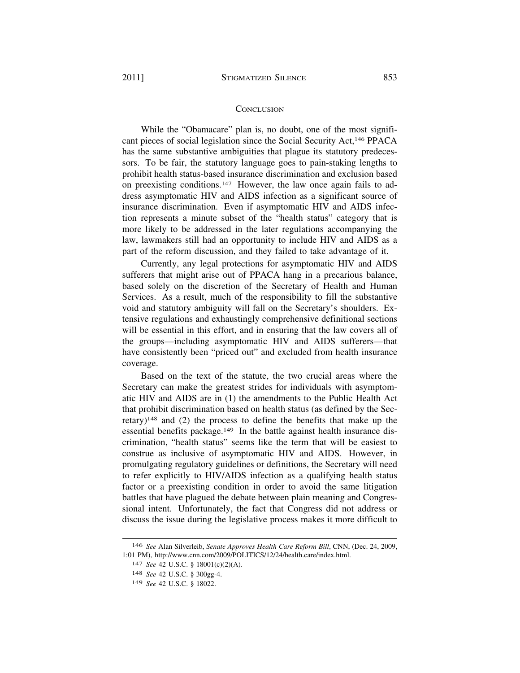#### **CONCLUSION**

While the "Obamacare" plan is, no doubt, one of the most significant pieces of social legislation since the Social Security Act,146 PPACA has the same substantive ambiguities that plague its statutory predecessors. To be fair, the statutory language goes to pain-staking lengths to prohibit health status-based insurance discrimination and exclusion based on preexisting conditions.147 However, the law once again fails to address asymptomatic HIV and AIDS infection as a significant source of insurance discrimination. Even if asymptomatic HIV and AIDS infection represents a minute subset of the "health status" category that is more likely to be addressed in the later regulations accompanying the law, lawmakers still had an opportunity to include HIV and AIDS as a part of the reform discussion, and they failed to take advantage of it.

Currently, any legal protections for asymptomatic HIV and AIDS sufferers that might arise out of PPACA hang in a precarious balance, based solely on the discretion of the Secretary of Health and Human Services. As a result, much of the responsibility to fill the substantive void and statutory ambiguity will fall on the Secretary's shoulders. Extensive regulations and exhaustingly comprehensive definitional sections will be essential in this effort, and in ensuring that the law covers all of the groups—including asymptomatic HIV and AIDS sufferers—that have consistently been "priced out" and excluded from health insurance coverage.

Based on the text of the statute, the two crucial areas where the Secretary can make the greatest strides for individuals with asymptomatic HIV and AIDS are in (1) the amendments to the Public Health Act that prohibit discrimination based on health status (as defined by the Secretary)148 and (2) the process to define the benefits that make up the essential benefits package.149 In the battle against health insurance discrimination, "health status" seems like the term that will be easiest to construe as inclusive of asymptomatic HIV and AIDS. However, in promulgating regulatory guidelines or definitions, the Secretary will need to refer explicitly to HIV/AIDS infection as a qualifying health status factor or a preexisting condition in order to avoid the same litigation battles that have plagued the debate between plain meaning and Congressional intent. Unfortunately, the fact that Congress did not address or discuss the issue during the legislative process makes it more difficult to

<sup>146</sup> *See* Alan Silverleib, *Senate Approves Health Care Reform Bill*, CNN, (Dec. 24, 2009, 1:01 PM), <http://www.cnn.com/2009/POLITICS/12/24/health.care/index.html>.

<sup>147</sup> *See* 42 U.S.C. § 18001(c)(2)(A).

<sup>148</sup> *See* 42 U.S.C. § 300gg-4.

<sup>149</sup> *See* 42 U.S.C. § 18022.